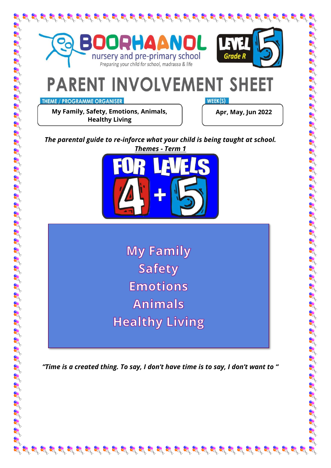

**THEME / PROGRAMME ORGANISER** 

**My Family, Safety, Emotions, Animals, Healthy Living** 

WEEK(S)

**Apr, May, Jun 2022**

*The parental guide to re-inforce what your child is being taught at school. Themes - Term 1*



**My Family Safety Emotions Animals Healthy Living** 

*"Time is a created thing. To say, I don't have time is to say, I don't want to "*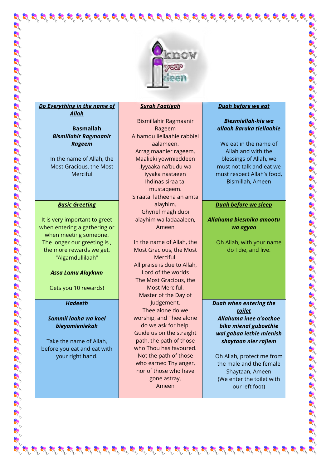

# *Do Everything in the name of Allah*

**Basmallah** *Bismillahir Ragmaanir Rageem*

In the name of Allah, the Most Gracious, the Most Merciful

#### *Basic Greeting*

It is very important to greet when entering a gathering or when meeting someone. The longer our greeting is , the more rewards we get, "Algamdullilaah"

#### *Assa Lamu Alaykum*

Gets you 10 rewards!

#### *Hadeeth*

#### *Sammil laaha wa koel bieyamieniekah*

Take the name of Allah, before you eat and eat with your right hand.

#### *Surah Faatigah*

Bismillahir Ragmaanir Rageem Alhamdu liellaahie rabbiel aalameen. Arrag maanier rageem. Maalieki yowmieddeen .Iyyaaka na'budu wa iyyaka nastaeen Ihdinas siraa tal mustaqeem. Siraatal latheena an amta alayhim. Ghyriel magh dubi alayhim wa ladaaaleen, Ameen

In the name of Allah, the Most Gracious, the Most Merciful. All praise is due to Allah, Lord of the worlds The Most Gracious, the Most Merciful. Master of the Day of Judgement. Thee alone do we worship, and Thee alone do we ask for help. Guide us on the straight path, the path of those who Thou has favoured. Not the path of those who earned Thy anger, nor of those who have gone astray. Ameen

 $\mathcal{L}^{2} \times \mathcal{L}^{3} \times \mathcal{L}^{4} \times \mathcal{L}^{4} \times \mathcal{L}^{5} \times \mathcal{L}^{5} \times \mathcal{L}^{6} \times \mathcal{L}^{7} \times \mathcal{L}^{8} \times \mathcal{L}^{8} \times \mathcal{L}^{8} \times \mathcal{L}^{1} \times \mathcal{L}^{1} \times \mathcal{L}^{1} \times \mathcal{L}^{1} \times \mathcal{L}^{1} \times \mathcal{L}^{1} \times \mathcal{L}^{1} \times \mathcal{L}^{1} \times \mathcal{L}^{1} \times$ 

#### *Duah before we eat*

## *Biesmiellah-hie wa allaah Baraka tiellaahie*

We eat in the name of Allah and with the blessings of Allah, we must not talk and eat we must respect Allah's food, Bismillah, Ameen

#### *Duah before we sleep*

*Allahuma biesmika amootu wa agyaa*

> Oh Allah, with your name do I die, and live.

*Duah when entering the toilet Allahuma inee a'oothoe bika mienal guboethie wal gabaa iethie mienish shaytaan nier rajiem*

Oh Allah, protect me from the male and the female Shaytaan, Ameen (We enter the toilet with our left foot)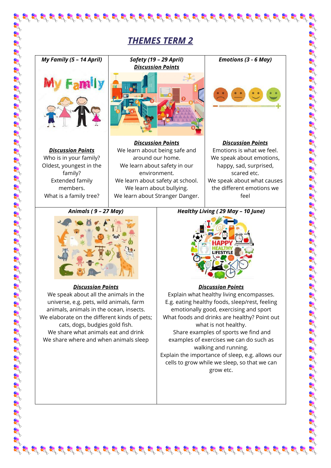# *THEMES TERM 2*



*Discussion Points* Who is in your family? Oldest, youngest in the family? Extended family members. What is a family tree?



*Discussion Points* We learn about being safe and around our home. We learn about safety in our environment. We learn about safety at school. We learn about bullying. We learn about Stranger Danger.



*Emotions (3 - 6 May)*

*Discussion Points* Emotions is what we feel. We speak about emotions, happy, sad, surprised, scared etc. We speak about what causes the different emotions we feel

*Animals ( 9 – 27 May)*



# *Discussion Points*

We speak about all the animals in the universe, e.g. pets, wild animals, farm animals, animals in the ocean, insects. We elaborate on the different kinds of pets; cats, dogs, budgies gold fish. We share what animals eat and drink We share where and when animals sleep

*Healthy Living ( 29 May – 10 June)*



# *Discussion Points*

Explain what healthy living encompasses. E.g. eating healthy foods, sleep/rest, feeling emotionally good, exercising and sport What foods and drinks are healthy? Point out what is not healthy. Share examples of sports we find and examples of exercises we can do such as walking and running. Explain the importance of sleep, e.g. allows our cells to grow while we sleep, so that we can

grow etc.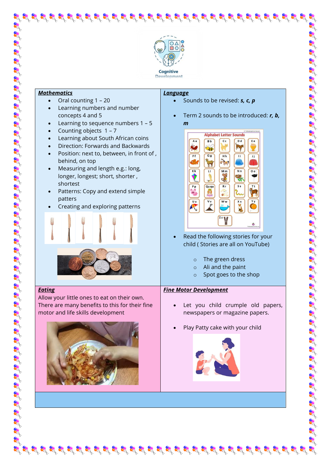

# *Mathematics*

*Eating*

- Oral counting 1 20
- Learning numbers and number concepts 4 and 5
- Learning to sequence numbers 1 5
- Counting objects 1 7
- Learning about South African coins
- Direction: Forwards and Backwards
- Position: next to, between, in front of , behind, on top
- Measuring and length e.g.: long, longer, longest; short, shorter , shortest
- Patterns: Copy and extend simple patters
- Creating and exploring patterns



Allow your little ones to eat on their own. There are many benefits to this for their fine

motor and life skills development

- *Language*
	- Sounds to be revised: *s, c, p*
	- Term 2 sounds to be introduced: *r, b, m*



• Read the following stories for your child ( Stories are all on YouTube)

- o The green dress
- o Ali and the paint
- o Spot goes to the shop

## *Fine Motor Development*

 $\mathcal{B}$  is the state of state state state state state state state state state

- Let you child crumple old papers, newspapers or magazine papers.
- Play Patty cake with your child